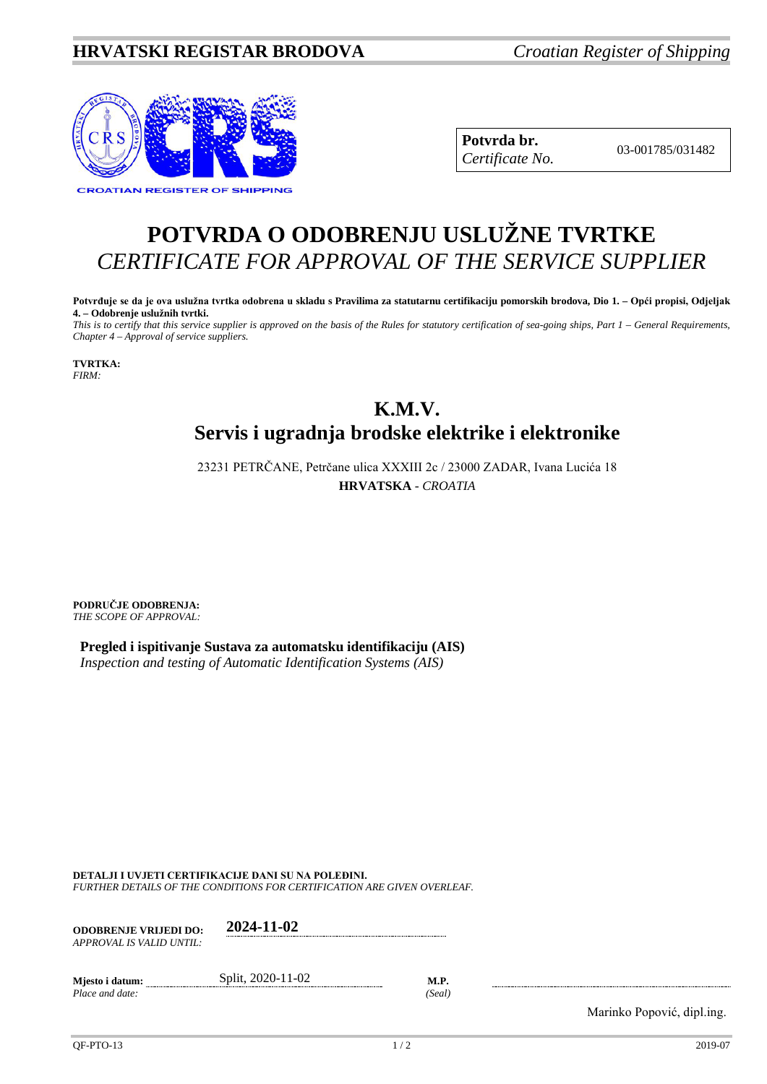## **HRVATSKI REGISTAR BRODOVA** *Croatian Register of Shipping*



**Potvrda br.** 03-001785/031482 *Certificate No.*

## **POTVRDA O ODOBRENJU USLUŽNE TVRTKE** *CERTIFICATE FOR APPROVAL OF THE SERVICE SUPPLIER*

**Potvrđuje se da je ova uslužna tvrtka odobrena u skladu s Pravilima za statutarnu certifikaciju pomorskih brodova, Dio 1. – Opći propisi, Odjeljak 4. – Odobrenje uslužnih tvrtki.** *This is to certify that this service supplier is approved on the basis of the Rules for statutory certification of sea-going ships, Part 1 – General Requirements,* 

*Chapter 4 – Approval of service suppliers.*

**TVRTKA:** *FIRM:*

## **K.M.V. Servis i ugradnja brodske elektrike i elektronike**

23231 PETRČANE, Petrčane ulica XXXIII 2c / 23000 ZADAR, Ivana Lucića 18 **HRVATSKA** - *CROATIA*

**PODRUČJE ODOBRENJA:** *THE SCOPE OF APPROVAL:*

**Pregled i ispitivanje Sustava za automatsku identifikaciju (AIS)** *Inspection and testing of Automatic Identification Systems (AIS)*

**DETALJI I UVJETI CERTIFIKACIJE DANI SU NA POLEĐINI.**

*FURTHER DETAILS OF THE CONDITIONS FOR CERTIFICATION ARE GIVEN OVERLEAF.*

| <b>ODOBRENJE VRLJEDI DO:</b><br>APPROVAL IS VALID UNTIL: | 2024-11-02        |                       |
|----------------------------------------------------------|-------------------|-----------------------|
| Mjesto i datum:<br>Place and date:                       | Split, 2020-11-02 | <b>M.P.</b><br>(Seal) |

Marinko Popović, dipl.ing.